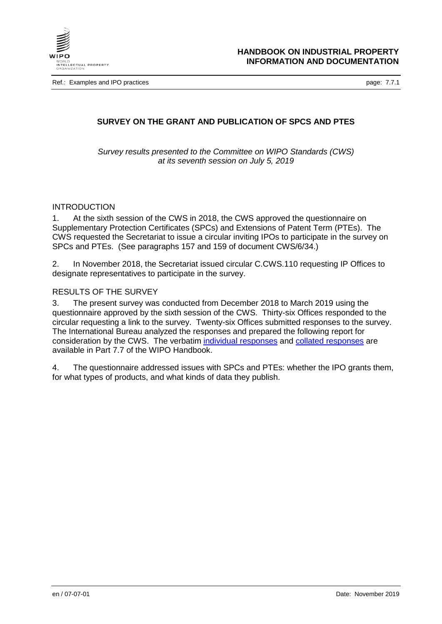

Ref.: Examples and IPO practices **page: 7.7.1** 

## **SURVEY ON THE GRANT AND PUBLICATION OF SPCS AND PTES**

*Survey results presented to the Committee on WIPO Standards (CWS) at its seventh session on July 5, 2019*

#### INTRODUCTION

1. At the sixth session of the CWS in 2018, the CWS approved the questionnaire on Supplementary Protection Certificates (SPCs) and Extensions of Patent Term (PTEs). The CWS requested the Secretariat to issue a circular inviting IPOs to participate in the survey on SPCs and PTEs. (See paragraphs 157 and 159 of document CWS/6/34.)

2. In November 2018, the Secretariat issued circular C.CWS.110 requesting IP Offices to designate representatives to participate in the survey.

### RESULTS OF THE SURVEY

3. The present survey was conducted from December 2018 to March 2019 using the questionnaire approved by the sixth session of the CWS. Thirty-six Offices responded to the circular requesting a link to the survey. Twenty-six Offices submitted responses to the survey. The International Bureau analyzed the responses and prepared the following report for consideration by the CWS. The verbatim [individual responses](https://www.wipo.int/standards/en/surveys/SPCs_PTEs/individual.html) and collated [responses](https://www.wipo.int/standards/en/surveys/SPCs_PTEs/collated.html) are available in Part 7.7 of the WIPO Handbook.

4. The questionnaire addressed issues with SPCs and PTEs: whether the IPO grants them, for what types of products, and what kinds of data they publish.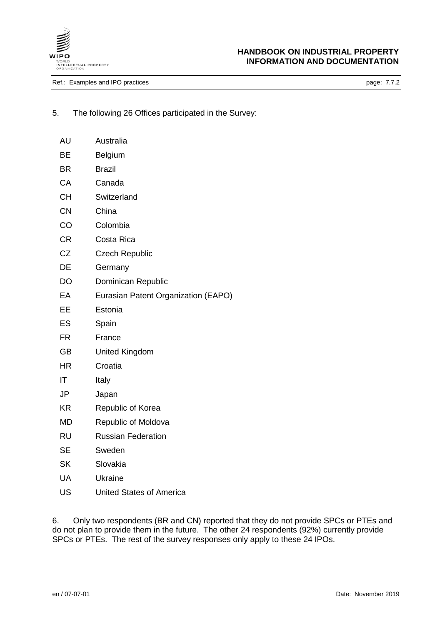

# **HANDBOOK ON INDUSTRIAL PROPERTY INFORMATION AND DOCUMENTATION**

Ref.: Examples and IPO practices **page: 7.7.2** 

5. The following 26 Offices participated in the Survey:

| AU        | Australia                           |
|-----------|-------------------------------------|
| BE        | Belgium                             |
| <b>BR</b> | <b>Brazil</b>                       |
| <b>CA</b> | Canada                              |
| <b>CH</b> | Switzerland                         |
| <b>CN</b> | China                               |
| CO        | Colombia                            |
| <b>CR</b> | Costa Rica                          |
| <b>CZ</b> | <b>Czech Republic</b>               |
| DE        | Germany                             |
| <b>DO</b> | Dominican Republic                  |
| EA        | Eurasian Patent Organization (EAPO) |
| EE        | Estonia                             |
| ES        | Spain                               |
| <b>FR</b> | France                              |
| <b>GB</b> | <b>United Kingdom</b>               |
| <b>HR</b> | Croatia                             |
| IT        | Italy                               |
| JP        | Japan                               |
| <b>KR</b> | Republic of Korea                   |
| <b>MD</b> | Republic of Moldova                 |
| <b>RU</b> | <b>Russian Federation</b>           |
| <b>SE</b> | Sweden                              |
| <b>SK</b> | Slovakia                            |
| UA        | <b>Ukraine</b>                      |
| US        | <b>United States of America</b>     |

6. Only two respondents (BR and CN) reported that they do not provide SPCs or PTEs and do not plan to provide them in the future. The other 24 respondents (92%) currently provide SPCs or PTEs. The rest of the survey responses only apply to these 24 IPOs.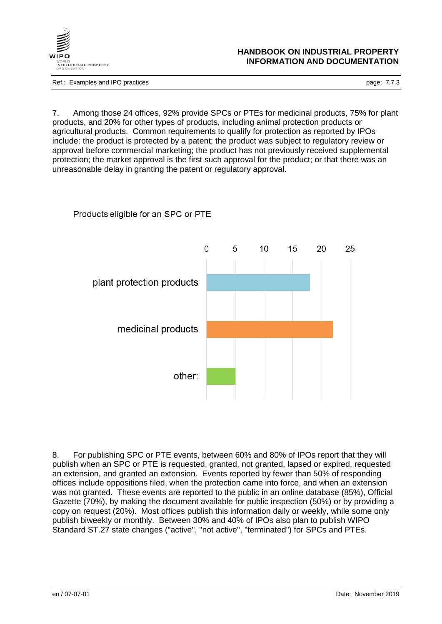

### **HANDBOOK ON INDUSTRIAL PROPERTY INFORMATION AND DOCUMENTATION**

Ref.: Examples and IPO practices **page: 7.7.3** 

7. Among those 24 offices, 92% provide SPCs or PTEs for medicinal products, 75% for plant products, and 20% for other types of products, including animal protection products or agricultural products. Common requirements to qualify for protection as reported by IPOs include: the product is protected by a patent; the product was subject to regulatory review or approval before commercial marketing; the product has not previously received supplemental protection; the market approval is the first such approval for the product; or that there was an unreasonable delay in granting the patent or regulatory approval.



Products eligible for an SPC or PTE

8. For publishing SPC or PTE events, between 60% and 80% of IPOs report that they will publish when an SPC or PTE is requested, granted, not granted, lapsed or expired, requested an extension, and granted an extension. Events reported by fewer than 50% of responding offices include oppositions filed, when the protection came into force, and when an extension was not granted. These events are reported to the public in an online database (85%), Official Gazette (70%), by making the document available for public inspection (50%) or by providing a copy on request (20%). Most offices publish this information daily or weekly, while some only publish biweekly or monthly. Between 30% and 40% of IPOs also plan to publish WIPO Standard ST.27 state changes ("active", "not active", "terminated") for SPCs and PTEs.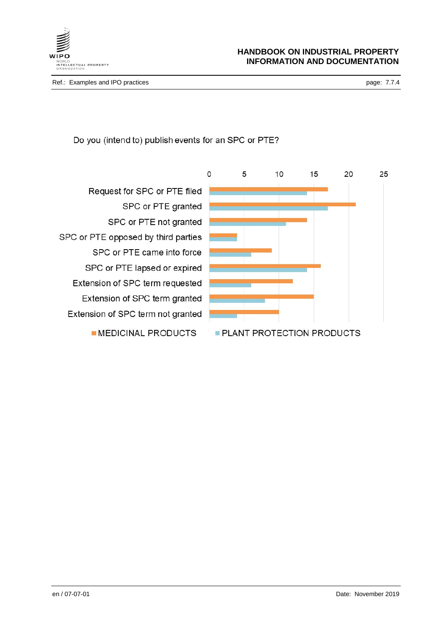

Do you (intend to) publish events for an SPC or PTE?

Request for SPC or PTE filed SPC or PTE granted SPC or PTE not granted SPC or PTE opposed by third parties SPC or PTE came into force SPC or PTE lapsed or expired Extension of SPC term requested Extension of SPC term granted Extension of SPC term not granted MEDICINAL PRODUCTS